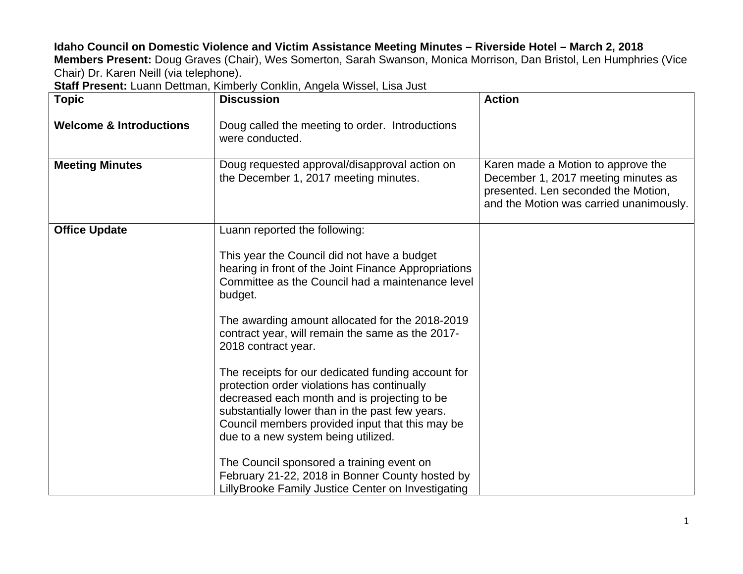## **Idaho Council on Domestic Violence and Victim Assistance Meeting Minutes – Riverside Hotel – March 2, 2018**

**Members Present:** Doug Graves (Chair), Wes Somerton, Sarah Swanson, Monica Morrison, Dan Bristol, Len Humphries (Vice Chair) Dr. Karen Neill (via telephone).

**Staff Present:** Luann Dettman, Kimberly Conklin, Angela Wissel, Lisa Just

| <b>Topic</b>                       | <b>Discussion</b>                                                                                                                                                                                                                                                                              | <b>Action</b>                                                                                                                                               |
|------------------------------------|------------------------------------------------------------------------------------------------------------------------------------------------------------------------------------------------------------------------------------------------------------------------------------------------|-------------------------------------------------------------------------------------------------------------------------------------------------------------|
| <b>Welcome &amp; Introductions</b> | Doug called the meeting to order. Introductions<br>were conducted.                                                                                                                                                                                                                             |                                                                                                                                                             |
| <b>Meeting Minutes</b>             | Doug requested approval/disapproval action on<br>the December 1, 2017 meeting minutes.                                                                                                                                                                                                         | Karen made a Motion to approve the<br>December 1, 2017 meeting minutes as<br>presented. Len seconded the Motion,<br>and the Motion was carried unanimously. |
| <b>Office Update</b>               | Luann reported the following:                                                                                                                                                                                                                                                                  |                                                                                                                                                             |
|                                    | This year the Council did not have a budget<br>hearing in front of the Joint Finance Appropriations<br>Committee as the Council had a maintenance level<br>budget.                                                                                                                             |                                                                                                                                                             |
|                                    | The awarding amount allocated for the 2018-2019<br>contract year, will remain the same as the 2017-<br>2018 contract year.                                                                                                                                                                     |                                                                                                                                                             |
|                                    | The receipts for our dedicated funding account for<br>protection order violations has continually<br>decreased each month and is projecting to be<br>substantially lower than in the past few years.<br>Council members provided input that this may be<br>due to a new system being utilized. |                                                                                                                                                             |
|                                    | The Council sponsored a training event on<br>February 21-22, 2018 in Bonner County hosted by<br>LillyBrooke Family Justice Center on Investigating                                                                                                                                             |                                                                                                                                                             |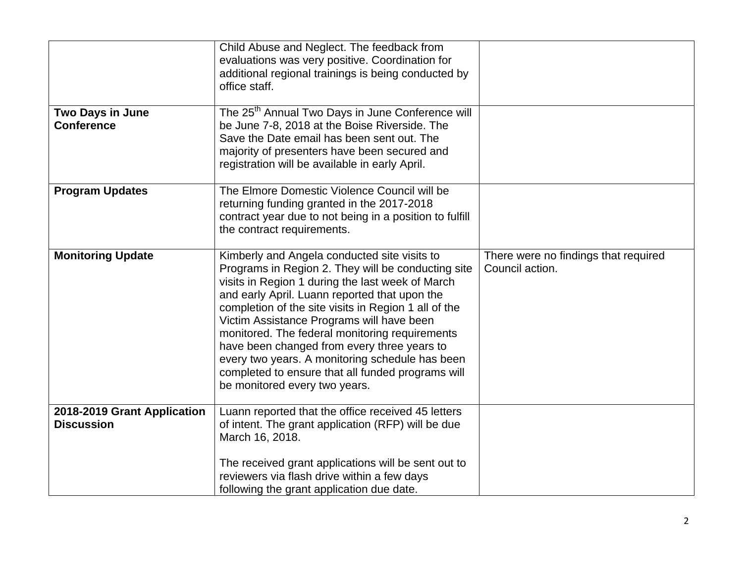|                                                  | Child Abuse and Neglect. The feedback from<br>evaluations was very positive. Coordination for<br>additional regional trainings is being conducted by<br>office staff.                                                                                                                                                                                                                                                                                                                                                                                  |                                                         |
|--------------------------------------------------|--------------------------------------------------------------------------------------------------------------------------------------------------------------------------------------------------------------------------------------------------------------------------------------------------------------------------------------------------------------------------------------------------------------------------------------------------------------------------------------------------------------------------------------------------------|---------------------------------------------------------|
| <b>Two Days in June</b><br><b>Conference</b>     | The 25 <sup>th</sup> Annual Two Days in June Conference will<br>be June 7-8, 2018 at the Boise Riverside. The                                                                                                                                                                                                                                                                                                                                                                                                                                          |                                                         |
|                                                  | Save the Date email has been sent out. The<br>majority of presenters have been secured and<br>registration will be available in early April.                                                                                                                                                                                                                                                                                                                                                                                                           |                                                         |
| <b>Program Updates</b>                           | The Elmore Domestic Violence Council will be<br>returning funding granted in the 2017-2018<br>contract year due to not being in a position to fulfill<br>the contract requirements.                                                                                                                                                                                                                                                                                                                                                                    |                                                         |
| <b>Monitoring Update</b>                         | Kimberly and Angela conducted site visits to<br>Programs in Region 2. They will be conducting site<br>visits in Region 1 during the last week of March<br>and early April. Luann reported that upon the<br>completion of the site visits in Region 1 all of the<br>Victim Assistance Programs will have been<br>monitored. The federal monitoring requirements<br>have been changed from every three years to<br>every two years. A monitoring schedule has been<br>completed to ensure that all funded programs will<br>be monitored every two years. | There were no findings that required<br>Council action. |
| 2018-2019 Grant Application<br><b>Discussion</b> | Luann reported that the office received 45 letters<br>of intent. The grant application (RFP) will be due<br>March 16, 2018.                                                                                                                                                                                                                                                                                                                                                                                                                            |                                                         |
|                                                  | The received grant applications will be sent out to<br>reviewers via flash drive within a few days<br>following the grant application due date.                                                                                                                                                                                                                                                                                                                                                                                                        |                                                         |